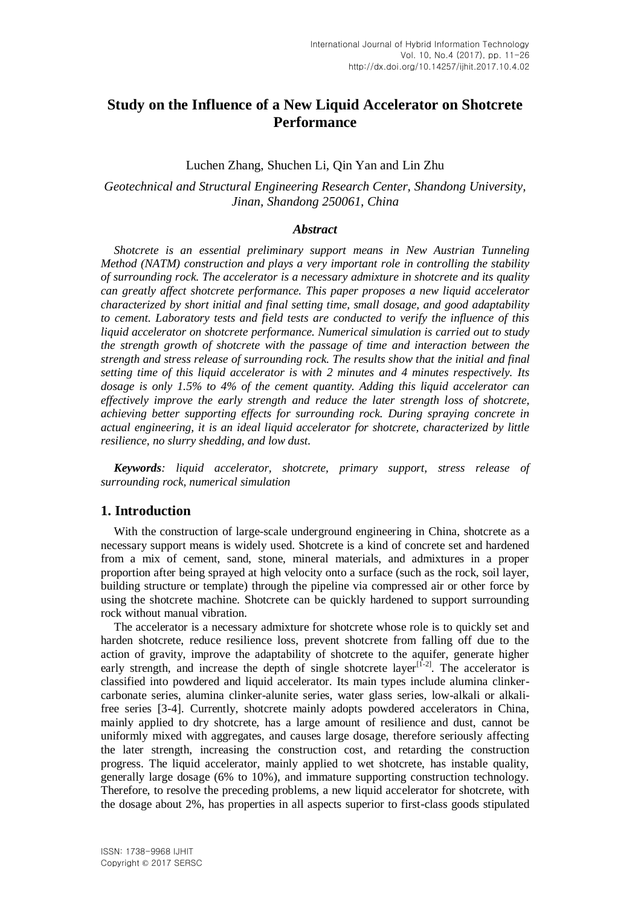# **Study on the Influence of a New Liquid Accelerator on Shotcrete Performance**

### Luchen Zhang, Shuchen Li, Qin Yan and Lin Zhu

# *Geotechnical and Structural Engineering Research Center, Shandong University, Jinan, Shandong 250061, China*

### *Abstract*

*Shotcrete is an essential preliminary support means in New Austrian Tunneling Method (NATM) construction and plays a very important role in controlling the stability of surrounding rock. The accelerator is a necessary admixture in shotcrete and its quality can greatly affect shotcrete performance. This paper proposes a new liquid accelerator characterized by short initial and final setting time, small dosage, and good adaptability to cement. Laboratory tests and field tests are conducted to verify the influence of this liquid accelerator on shotcrete performance. Numerical simulation is carried out to study the strength growth of shotcrete with the passage of time and interaction between the strength and stress release of surrounding rock. The results show that the initial and final setting time of this liquid accelerator is with 2 minutes and 4 minutes respectively. Its dosage is only 1.5% to 4% of the cement quantity. Adding this liquid accelerator can effectively improve the early strength and reduce the later strength loss of shotcrete, achieving better supporting effects for surrounding rock. During spraying concrete in actual engineering, it is an ideal liquid accelerator for shotcrete, characterized by little resilience, no slurry shedding, and low dust.*

*Keywords: liquid accelerator, shotcrete, primary support, stress release of surrounding rock, numerical simulation*

### **1. Introduction**

With the construction of large-scale underground engineering in China, shotcrete as a necessary support means is widely used. Shotcrete is a kind of concrete set and hardened from a mix of cement, sand, stone, mineral materials, and admixtures in a proper proportion after being sprayed at high velocity onto a surface (such as the rock, soil layer, building structure or template) through the pipeline via compressed air or other force by using the shotcrete machine. Shotcrete can be quickly hardened to support surrounding rock without manual vibration.

The accelerator is a necessary admixture for shotcrete whose role is to quickly set and harden shotcrete, reduce resilience loss, prevent shotcrete from falling off due to the action of gravity, improve the adaptability of shotcrete to the aquifer, generate higher early strength, and increase the depth of single shotcrete layer<sup>[1-2]</sup>. The accelerator is classified into powdered and liquid accelerator. Its main types include alumina clinkercarbonate series, alumina clinker-alunite series, water glass series, low-alkali or alkalifree series [3-4]. Currently, shotcrete mainly adopts powdered accelerators in China, mainly applied to dry shotcrete, has a large amount of resilience and dust, cannot be uniformly mixed with aggregates, and causes large dosage, therefore seriously affecting the later strength, increasing the construction cost, and retarding the construction progress. The liquid accelerator, mainly applied to wet shotcrete, has instable quality, generally large dosage (6% to 10%), and immature supporting construction technology. Therefore, to resolve the preceding problems, a new liquid accelerator for shotcrete, with the dosage about 2%, has properties in all aspects superior to first-class goods stipulated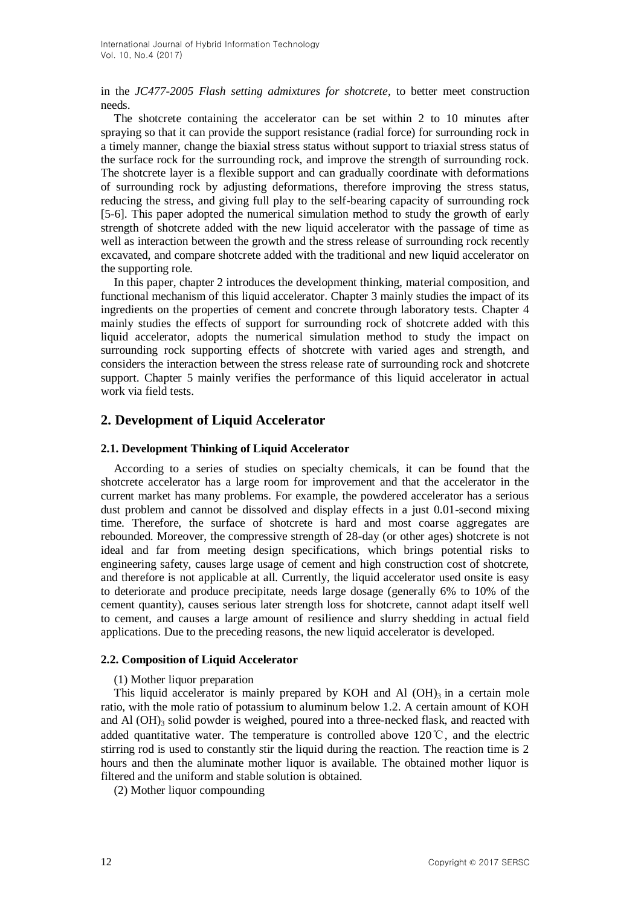in the *JC477-2005 Flash setting admixtures for shotcrete*, to better meet construction needs.

The shotcrete containing the accelerator can be set within 2 to 10 minutes after spraying so that it can provide the support resistance (radial force) for surrounding rock in a timely manner, change the biaxial stress status without support to triaxial stress status of the surface rock for the surrounding rock, and improve the strength of surrounding rock. The shotcrete layer is a flexible support and can gradually coordinate with deformations of surrounding rock by adjusting deformations, therefore improving the stress status, reducing the stress, and giving full play to the self-bearing capacity of surrounding rock [5-6]. This paper adopted the numerical simulation method to study the growth of early strength of shotcrete added with the new liquid accelerator with the passage of time as well as interaction between the growth and the stress release of surrounding rock recently excavated, and compare shotcrete added with the traditional and new liquid accelerator on the supporting role.

In this paper, chapter 2 introduces the development thinking, material composition, and functional mechanism of this liquid accelerator. Chapter 3 mainly studies the impact of its ingredients on the properties of cement and concrete through laboratory tests. Chapter 4 mainly studies the effects of support for surrounding rock of shotcrete added with this liquid accelerator, adopts the numerical simulation method to study the impact on surrounding rock supporting effects of shotcrete with varied ages and strength, and considers the interaction between the stress release rate of surrounding rock and shotcrete support. Chapter 5 mainly verifies the performance of this liquid accelerator in actual work via field tests.

# **2. Development of Liquid Accelerator**

### **2.1. Development Thinking of Liquid Accelerator**

According to a series of studies on specialty chemicals, it can be found that the shotcrete accelerator has a large room for improvement and that the accelerator in the current market has many problems. For example, the powdered accelerator has a serious dust problem and cannot be dissolved and display effects in a just 0.01-second mixing time. Therefore, the surface of shotcrete is hard and most coarse aggregates are rebounded. Moreover, the compressive strength of 28-day (or other ages) shotcrete is not ideal and far from meeting design specifications, which brings potential risks to engineering safety, causes large usage of cement and high construction cost of shotcrete, and therefore is not applicable at all. Currently, the liquid accelerator used onsite is easy to deteriorate and produce precipitate, needs large dosage (generally 6% to 10% of the cement quantity), causes serious later strength loss for shotcrete, cannot adapt itself well to cement, and causes a large amount of resilience and slurry shedding in actual field applications. Due to the preceding reasons, the new liquid accelerator is developed.

### **2.2. Composition of Liquid Accelerator**

(1) Mother liquor preparation

This liquid accelerator is mainly prepared by KOH and Al  $(OH)$ <sub>3</sub> in a certain mole ratio, with the mole ratio of potassium to aluminum below 1.2. A certain amount of KOH and Al  $(OH)$ <sub>3</sub> solid powder is weighed, poured into a three-necked flask, and reacted with added quantitative water. The temperature is controlled above 120 $\degree$ C, and the electric stirring rod is used to constantly stir the liquid during the reaction. The reaction time is 2 hours and then the aluminate mother liquor is available. The obtained mother liquor is filtered and the uniform and stable solution is obtained.

(2) Mother liquor compounding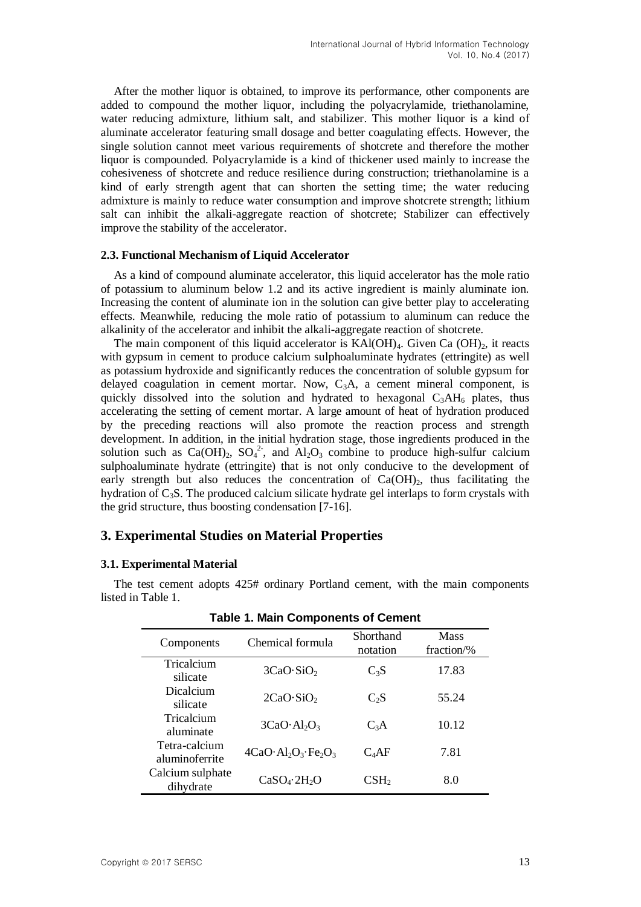After the mother liquor is obtained, to improve its performance, other components are added to compound the mother liquor, including the polyacrylamide, triethanolamine, water reducing admixture, lithium salt, and stabilizer. This mother liquor is a kind of aluminate accelerator featuring small dosage and better coagulating effects. However, the single solution cannot meet various requirements of shotcrete and therefore the mother liquor is compounded. Polyacrylamide is a kind of thickener used mainly to increase the cohesiveness of shotcrete and reduce resilience during construction; triethanolamine is a kind of early strength agent that can shorten the setting time; the water reducing admixture is mainly to reduce water consumption and improve shotcrete strength; lithium salt can inhibit the alkali-aggregate reaction of shotcrete; Stabilizer can effectively improve the stability of the accelerator.

### **2.3. Functional Mechanism of Liquid Accelerator**

As a kind of compound aluminate accelerator, this liquid accelerator has the mole ratio of potassium to aluminum below 1.2 and its active ingredient is mainly aluminate ion. Increasing the content of aluminate ion in the solution can give better play to accelerating effects. Meanwhile, reducing the mole ratio of potassium to aluminum can reduce the alkalinity of the accelerator and inhibit the alkali-aggregate reaction of shotcrete.

The main component of this liquid accelerator is  $KAI(OH)<sub>4</sub>$ . Given Ca  $(OH)<sub>2</sub>$ , it reacts with gypsum in cement to produce calcium sulphoaluminate hydrates (ettringite) as well as potassium hydroxide and significantly reduces the concentration of soluble gypsum for delayed coagulation in cement mortar. Now,  $C_3A$ , a cement mineral component, is quickly dissolved into the solution and hydrated to hexagonal  $C_3AH_6$  plates, thus accelerating the setting of cement mortar. A large amount of heat of hydration produced by the preceding reactions will also promote the reaction process and strength development. In addition, in the initial hydration stage, those ingredients produced in the solution such as  $Ca(OH)_2$ ,  $SO_4^2$ , and  $Al_2O_3$  combine to produce high-sulfur calcium sulphoaluminate hydrate (ettringite) that is not only conducive to the development of early strength but also reduces the concentration of  $Ca(OH)_2$ , thus facilitating the hydration of  $C_3S$ . The produced calcium silicate hydrate gel interlaps to form crystals with the grid structure, thus boosting condensation [7-16].

### **3. Experimental Studies on Material Properties**

#### **3.1. Experimental Material**

The test cement adopts 425# ordinary Portland cement, with the main components listed in Table 1.

| <b>Table 1. Main Components of Cement</b> |                                      |                       |                           |  |  |  |  |
|-------------------------------------------|--------------------------------------|-----------------------|---------------------------|--|--|--|--|
| Components                                | Chemical formula                     | Shorthand<br>notation | <b>Mass</b><br>fraction/% |  |  |  |  |
| Tricalcium<br>silicate                    | 3CaO·SiO <sub>2</sub>                | $C_3S$                | 17.83                     |  |  |  |  |
| Dicalcium<br>silicate                     | 2CaO·SiO <sub>2</sub>                | C <sub>2</sub> S      | 55.24                     |  |  |  |  |
| Tricalcium<br>aluminate                   | 3CaO·Al <sub>2</sub> O <sub>3</sub>  | $C_3A$                | 10.12                     |  |  |  |  |
| Tetra-calcium<br>aluminoferrite           | $4CaO·Al2O3·Fe2O3$                   | C <sub>4</sub> AF     | 7.81                      |  |  |  |  |
| Calcium sulphate<br>dihydrate             | CaSO <sub>4</sub> ·2H <sub>2</sub> O | $\text{CSH}_2$        | 8.0                       |  |  |  |  |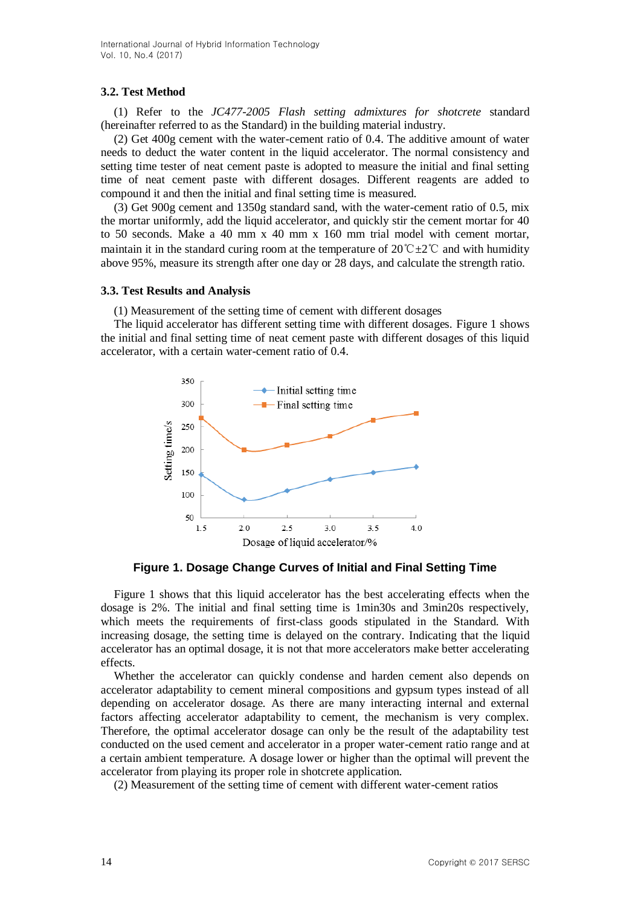### **3.2. Test Method**

(1) Refer to the *JC477-2005 Flash setting admixtures for shotcrete* standard (hereinafter referred to as the Standard) in the building material industry.

(2) Get 400g cement with the water-cement ratio of 0.4. The additive amount of water needs to deduct the water content in the liquid accelerator. The normal consistency and setting time tester of neat cement paste is adopted to measure the initial and final setting time of neat cement paste with different dosages. Different reagents are added to compound it and then the initial and final setting time is measured.

(3) Get 900g cement and 1350g standard sand, with the water-cement ratio of 0.5, mix the mortar uniformly, add the liquid accelerator, and quickly stir the cement mortar for 40 to 50 seconds. Make a 40 mm x 40 mm x 160 mm trial model with cement mortar, maintain it in the standard curing room at the temperature of 20° $C\pm2$ °C and with humidity above 95%, measure its strength after one day or 28 days, and calculate the strength ratio.

### **3.3. Test Results and Analysis**

(1) Measurement of the setting time of cement with different dosages

The liquid accelerator has different setting time with different dosages. Figure 1 shows the initial and final setting time of neat cement paste with different dosages of this liquid accelerator, with a certain water-cement ratio of 0.4.



**Figure 1. Dosage Change Curves of Initial and Final Setting Time**

Figure 1 shows that this liquid accelerator has the best accelerating effects when the dosage is 2%. The initial and final setting time is 1min30s and 3min20s respectively, which meets the requirements of first-class goods stipulated in the Standard. With increasing dosage, the setting time is delayed on the contrary. Indicating that the liquid accelerator has an optimal dosage, it is not that more accelerators make better accelerating effects.

Whether the accelerator can quickly condense and harden cement also depends on accelerator adaptability to cement mineral compositions and gypsum types instead of all depending on accelerator dosage. As there are many interacting internal and external factors affecting accelerator adaptability to cement, the mechanism is very complex. Therefore, the optimal accelerator dosage can only be the result of the adaptability test conducted on the used cement and accelerator in a proper water-cement ratio range and at a certain ambient temperature. A dosage lower or higher than the optimal will prevent the accelerator from playing its proper role in shotcrete application.

(2) Measurement of the setting time of cement with different water-cement ratios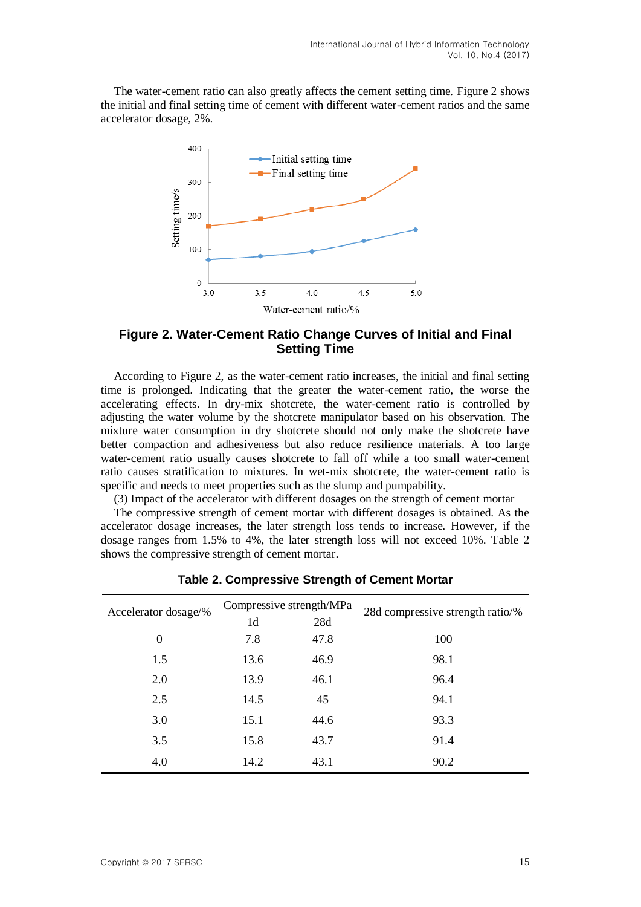The water-cement ratio can also greatly affects the cement setting time. Figure 2 shows the initial and final setting time of cement with different water-cement ratios and the same accelerator dosage, 2%.



# **Figure 2. Water-Cement Ratio Change Curves of Initial and Final Setting Time**

According to Figure 2, as the water-cement ratio increases, the initial and final setting time is prolonged. Indicating that the greater the water-cement ratio, the worse the accelerating effects. In dry-mix shotcrete, the water-cement ratio is controlled by adjusting the water volume by the shotcrete manipulator based on his observation. The mixture water consumption in dry shotcrete should not only make the shotcrete have better compaction and adhesiveness but also reduce resilience materials. A too large water-cement ratio usually causes shotcrete to fall off while a too small water-cement ratio causes stratification to mixtures. In wet-mix shotcrete, the water-cement ratio is specific and needs to meet properties such as the slump and pumpability.

(3) Impact of the accelerator with different dosages on the strength of cement mortar

The compressive strength of cement mortar with different dosages is obtained. As the accelerator dosage increases, the later strength loss tends to increase. However, if the dosage ranges from 1.5% to 4%, the later strength loss will not exceed 10%. Table 2 shows the compressive strength of cement mortar.

| Accelerator dosage/% |      | Compressive strength/MPa | 28d compressive strength ratio/% |  |
|----------------------|------|--------------------------|----------------------------------|--|
|                      | 1d   | 28d                      |                                  |  |
| 0                    | 7.8  | 47.8                     | 100                              |  |
| 1.5                  | 13.6 | 46.9                     | 98.1                             |  |
| 2.0                  | 13.9 | 46.1                     | 96.4                             |  |
| 2.5                  | 14.5 | 45                       | 94.1                             |  |
| 3.0                  | 15.1 | 44.6                     | 93.3                             |  |
| 3.5                  | 15.8 | 43.7                     | 91.4                             |  |
| 4.0                  | 14.2 | 43.1                     | 90.2                             |  |

**Table 2. Compressive Strength of Cement Mortar**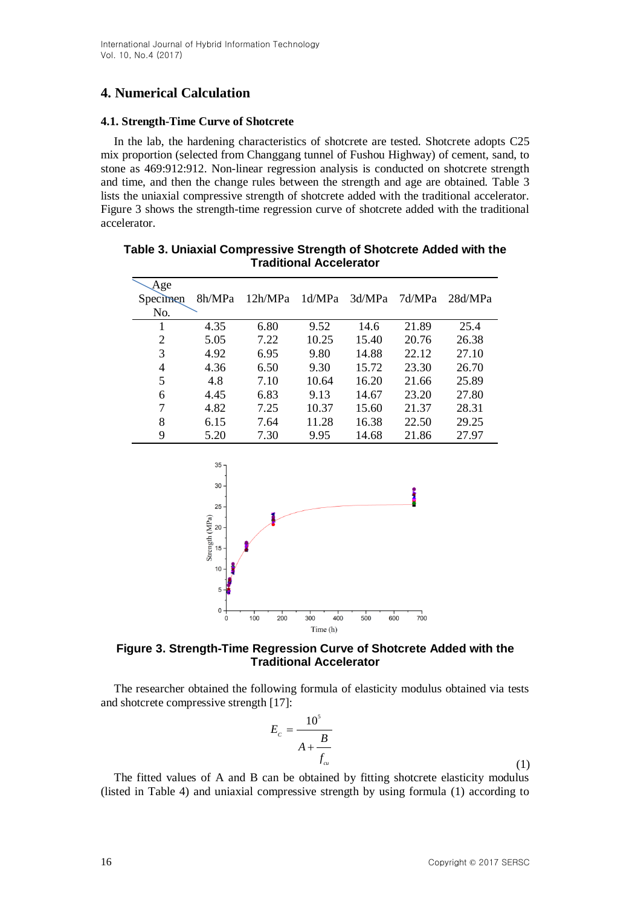# **4. Numerical Calculation**

### **4.1. Strength-Time Curve of Shotcrete**

In the lab, the hardening characteristics of shotcrete are tested. Shotcrete adopts C25 mix proportion (selected from Changgang tunnel of Fushou Highway) of cement, sand, to stone as 469:912:912. Non-linear regression analysis is conducted on shotcrete strength and time, and then the change rules between the strength and age are obtained. Table 3 lists the uniaxial compressive strength of shotcrete added with the traditional accelerator. Figure 3 shows the strength-time regression curve of shotcrete added with the traditional accelerator.

| Age      |        |         |        |        |        |         |
|----------|--------|---------|--------|--------|--------|---------|
| Specimen | 8h/MPa | 12h/MPa | 1d/MPa | 3d/MPa | 7d/MPa | 28d/MPa |
| No.      |        |         |        |        |        |         |
|          | 4.35   | 6.80    | 9.52   | 14.6   | 21.89  | 25.4    |
| 2        | 5.05   | 7.22    | 10.25  | 15.40  | 20.76  | 26.38   |
| 3        | 4.92   | 6.95    | 9.80   | 14.88  | 22.12  | 27.10   |
| 4        | 4.36   | 6.50    | 9.30   | 15.72  | 23.30  | 26.70   |
| 5        | 4.8    | 7.10    | 10.64  | 16.20  | 21.66  | 25.89   |
| 6        | 4.45   | 6.83    | 9.13   | 14.67  | 23.20  | 27.80   |
| 7        | 4.82   | 7.25    | 10.37  | 15.60  | 21.37  | 28.31   |
| 8        | 6.15   | 7.64    | 11.28  | 16.38  | 22.50  | 29.25   |
| 9        | 5.20   | 7.30    | 9.95   | 14.68  | 21.86  | 27.97   |

**Table 3. Uniaxial Compressive Strength of Shotcrete Added with the Traditional Accelerator**



**Figure 3. Strength-Time Regression Curve of Shotcrete Added with the Traditional Accelerator**

The researcher obtained the following formula of elasticity modulus obtained via tests and shotcrete compressive strength [17]:

$$
E_c = \frac{10^5}{A + \frac{B}{f_{cu}}}
$$
\n(1)

The fitted values of A and B can be obtained by fitting shotcrete elasticity modulus (listed in Table 4) and uniaxial compressive strength by using formula (1) according to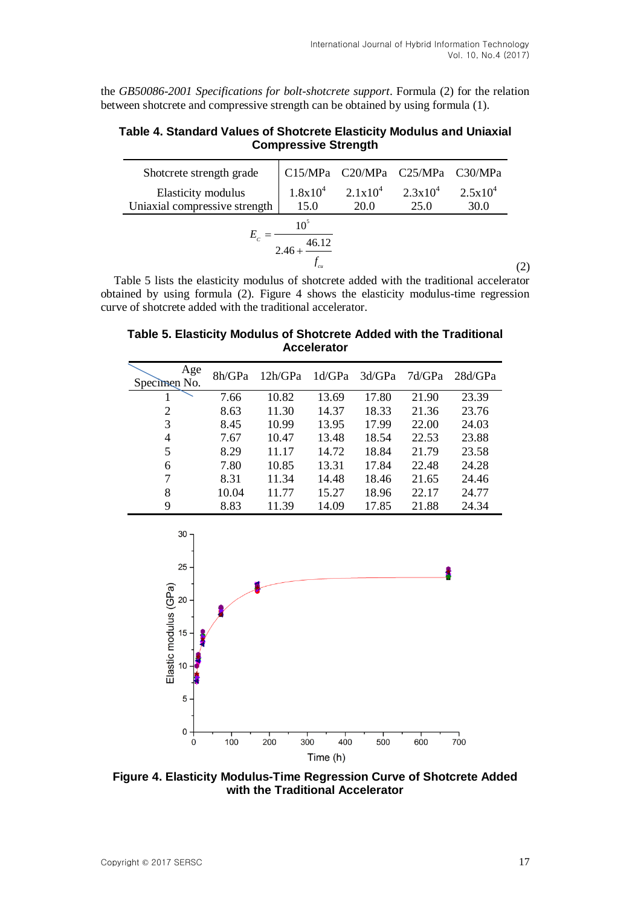the *GB50086-2001 Specifications for bolt-shotcrete support*. Formula (2) for the relation between shotcrete and compressive strength can be obtained by using formula (1).

## **Table 4. Standard Values of Shotcrete Elasticity Modulus and Uniaxial Compressive Strength**

| Shotcrete strength grade      |                                   | C15/MPa C20/MPa C25/MPa C30/MPa  |      |              |  |
|-------------------------------|-----------------------------------|----------------------------------|------|--------------|--|
| Elasticity modulus            |                                   | $1.8x10^4$ $2.1x10^4$ $2.3x10^4$ |      | $2.5x10^{4}$ |  |
| Uniaxial compressive strength | 15.0                              | <b>20.0</b>                      | 25.0 | 30.0         |  |
|                               | 10 <sup>5</sup>                   |                                  |      |              |  |
|                               | 46.12<br>$2.46 + \frac{46.12}{1}$ |                                  |      |              |  |
|                               |                                   |                                  |      |              |  |

Table 5 lists the elasticity modulus of shotcrete added with the traditional accelerator obtained by using formula (2). Figure 4 shows the elasticity modulus-time regression curve of shotcrete added with the traditional accelerator.

**Table 5. Elasticity Modulus of Shotcrete Added with the Traditional Accelerator**

| Age<br>Specimen No. | 8h/GPa | 12h/GPa | 1d/GPa | 3d/GPa | 7d/GPa | 28d/GPa |
|---------------------|--------|---------|--------|--------|--------|---------|
|                     | 7.66   | 10.82   | 13.69  | 17.80  | 21.90  | 23.39   |
| 2                   | 8.63   | 11.30   | 14.37  | 18.33  | 21.36  | 23.76   |
| 3                   | 8.45   | 10.99   | 13.95  | 17.99  | 22.00  | 24.03   |
| 4                   | 7.67   | 10.47   | 13.48  | 18.54  | 22.53  | 23.88   |
| 5                   | 8.29   | 11.17   | 14.72  | 18.84  | 21.79  | 23.58   |
| 6                   | 7.80   | 10.85   | 13.31  | 17.84  | 22.48  | 24.28   |
| 7                   | 8.31   | 11.34   | 14.48  | 18.46  | 21.65  | 24.46   |
| 8                   | 10.04  | 11.77   | 15.27  | 18.96  | 22.17  | 24.77   |
| 9                   | 8.83   | 11.39   | 14.09  | 17.85  | 21.88  | 24.34   |



**Figure 4. Elasticity Modulus-Time Regression Curve of Shotcrete Added with the Traditional Accelerator**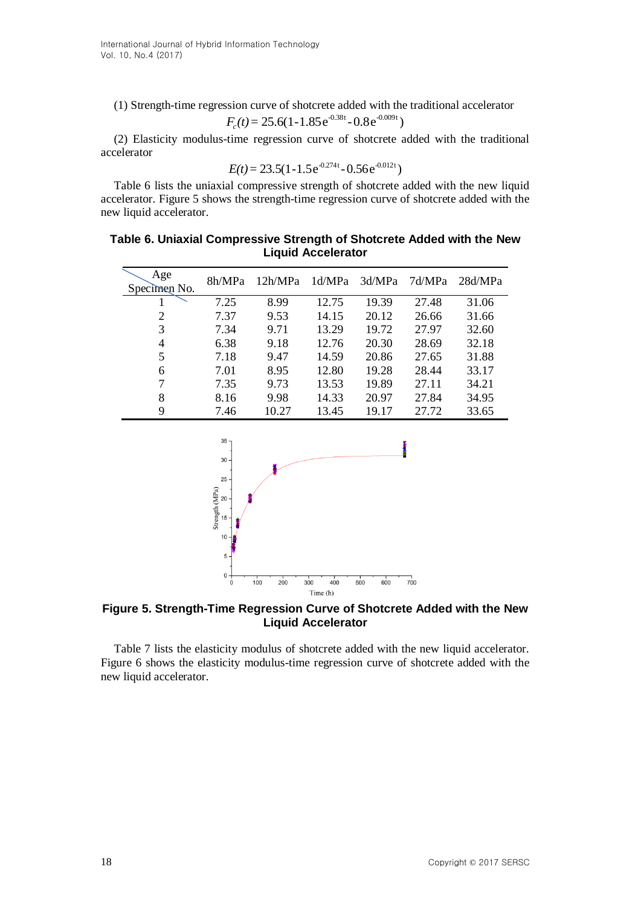(1) Strength-time regression curve of shotcrete added with the traditional accelerator  $F_c(t) = 25.6(1 - 1.85e^{-0.38t} - 0.8e^{-0.009t})$ 

$$
F_c(t) = 25.6(1-1.85e^{-0.38t} - 0.8e^{-0.009t})
$$

(2) Elasticity modulus-time regression curve of shotcrete added with the traditional accelerator

$$
E(t) = 23.5(1 - 1.5e^{-0.274t} - 0.56e^{-0.012t})
$$

Table 6 lists the uniaxial compressive strength of shotcrete added with the new liquid accelerator. Figure 5 shows the strength-time regression curve of shotcrete added with the new liquid accelerator.

## **Table 6. Uniaxial Compressive Strength of Shotcrete Added with the New Liquid Accelerator**

| Age<br>Specimen No. | 8h/MPa | 12h/MPa | 1d/MPa | 3d/MPa | 7d/MPa | 28d/MPa |
|---------------------|--------|---------|--------|--------|--------|---------|
|                     | 7.25   | 8.99    | 12.75  | 19.39  | 27.48  | 31.06   |
| 2                   | 7.37   | 9.53    | 14.15  | 20.12  | 26.66  | 31.66   |
| 3                   | 7.34   | 9.71    | 13.29  | 19.72  | 27.97  | 32.60   |
| 4                   | 6.38   | 9.18    | 12.76  | 20.30  | 28.69  | 32.18   |
| 5                   | 7.18   | 9.47    | 14.59  | 20.86  | 27.65  | 31.88   |
| 6                   | 7.01   | 8.95    | 12.80  | 19.28  | 28.44  | 33.17   |
| 7                   | 7.35   | 9.73    | 13.53  | 19.89  | 27.11  | 34.21   |
| 8                   | 8.16   | 9.98    | 14.33  | 20.97  | 27.84  | 34.95   |
| 9                   | 7.46   | 10.27   | 13.45  | 19.17  | 27.72  | 33.65   |



## **Figure 5. Strength-Time Regression Curve of Shotcrete Added with the New Liquid Accelerator**

Table 7 lists the elasticity modulus of shotcrete added with the new liquid accelerator. Figure 6 shows the elasticity modulus-time regression curve of shotcrete added with the new liquid accelerator.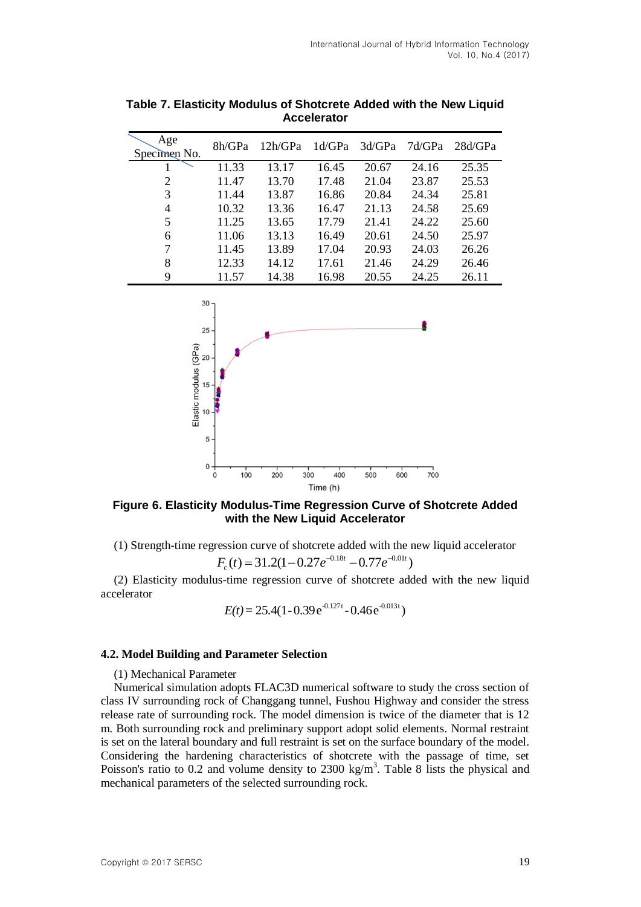| Age<br>Specimen No. | 8h/GPa | 12h/GPa | 1d/GPa | 3d/GPa | 7d/GPa | 28d/GPa |
|---------------------|--------|---------|--------|--------|--------|---------|
|                     | 11.33  | 13.17   | 16.45  | 20.67  | 24.16  | 25.35   |
| 2                   | 11.47  | 13.70   | 17.48  | 21.04  | 23.87  | 25.53   |
| 3                   | 11.44  | 13.87   | 16.86  | 20.84  | 24.34  | 25.81   |
| 4                   | 10.32  | 13.36   | 16.47  | 21.13  | 24.58  | 25.69   |
| 5                   | 11.25  | 13.65   | 17.79  | 21.41  | 24.22  | 25.60   |
| 6                   | 11.06  | 13.13   | 16.49  | 20.61  | 24.50  | 25.97   |
| 7                   | 11.45  | 13.89   | 17.04  | 20.93  | 24.03  | 26.26   |
| 8                   | 12.33  | 14.12   | 17.61  | 21.46  | 24.29  | 26.46   |
| 9                   | 11.57  | 14.38   | 16.98  | 20.55  | 24.25  | 26.11   |

**Table 7. Elasticity Modulus of Shotcrete Added with the New Liquid Accelerator**



**Figure 6. Elasticity Modulus-Time Regression Curve of Shotcrete Added with the New Liquid Accelerator**

(1) Strength-time regression curve of shotcrete added with the new liquid accelerator  $F_c(t) = 31.2(1 - 0.27e^{-0.18t} - 0.77e^{-0.01t})$ 

$$
F_c(t) = 31.2(1 - 0.27e^{-0.18t} - 0.77e^{-0.01t})
$$

(2) Elasticity modulus-time regression curve of shotcrete added with the new liquid accelerator

$$
E(t) = 25.4(1 - 0.39 e^{-0.127t} - 0.46 e^{-0.013t})
$$

### **4.2. Model Building and Parameter Selection**

(1) Mechanical Parameter

Numerical simulation adopts FLAC3D numerical software to study the cross section of class IV surrounding rock of Changgang tunnel, Fushou Highway and consider the stress release rate of surrounding rock. The model dimension is twice of the diameter that is 12 m. Both surrounding rock and preliminary support adopt solid elements. Normal restraint is set on the lateral boundary and full restraint is set on the surface boundary of the model. Considering the hardening characteristics of shotcrete with the passage of time, set Poisson's ratio to 0.2 and volume density to 2300 kg/m<sup>3</sup>. Table 8 lists the physical and mechanical parameters of the selected surrounding rock.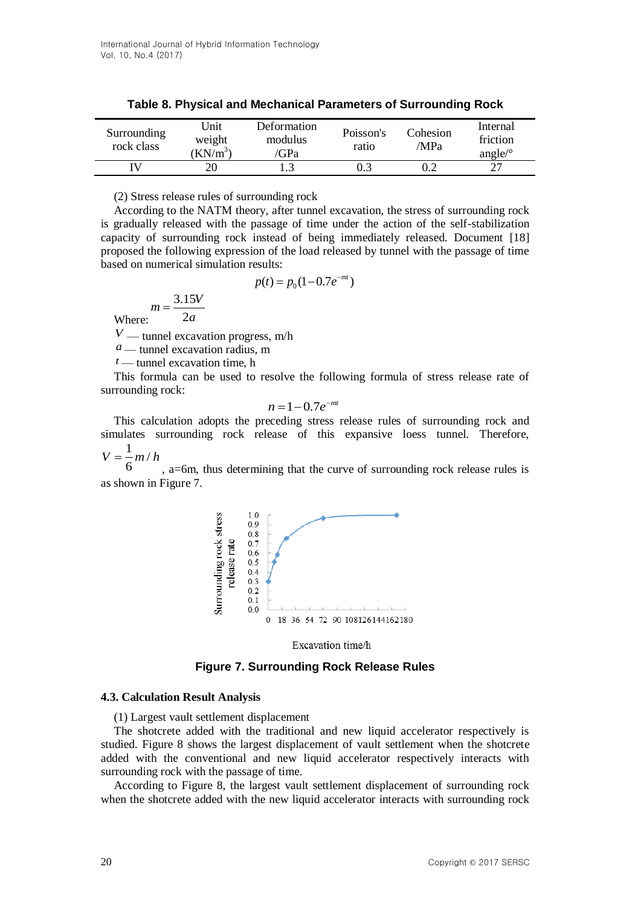| Surrounding<br>rock class | Unit<br>weight<br>$KN/m^3$ | Deformation<br>modulus<br>'GPa | Poisson's<br>ratio | Cohesion<br>MPa | Internal<br>friction<br>angle/ $\circ$ |
|---------------------------|----------------------------|--------------------------------|--------------------|-----------------|----------------------------------------|
|                           |                            |                                |                    |                 | っっ                                     |

**Table 8. Physical and Mechanical Parameters of Surrounding Rock**

(2) Stress release rules of surrounding rock

According to the NATM theory, after tunnel excavation, the stress of surrounding rock is gradually released with the passage of time under the action of the self-stabilization capacity of surrounding rock instead of being immediately released. Document [18] proposed the following expression of the load released by tunnel with the passage of time based on numerical simulation results:

$$
p(t) = p_0(1 - 0.7e^{-mt})
$$

 $m = \frac{3.15V}{2}$ 2 *a*

Where:

*V* — tunnel excavation progress, m/h

 $a$  — tunnel excavation radius, m

 $t$  — tunnel excavation time, h

This formula can be used to resolve the following formula of stress release rate of surrounding rock:

$$
n=1-0.7e^{-mt}
$$

This calculation adopts the preceding stress release rules of surrounding rock and simulates surrounding rock release of this expansive loess tunnel. Therefore,

 $\frac{1}{2}m/$  $V = \frac{1}{2}m/h$ 

6 , a=6m, thus determining that the curve of surrounding rock release rules is as shown in Figure 7.



Excavation time/h

**Figure 7. Surrounding Rock Release Rules**

#### **4.3. Calculation Result Analysis**

(1) Largest vault settlement displacement

The shotcrete added with the traditional and new liquid accelerator respectively is studied. Figure 8 shows the largest displacement of vault settlement when the shotcrete added with the conventional and new liquid accelerator respectively interacts with surrounding rock with the passage of time.

According to Figure 8, the largest vault settlement displacement of surrounding rock when the shotcrete added with the new liquid accelerator interacts with surrounding rock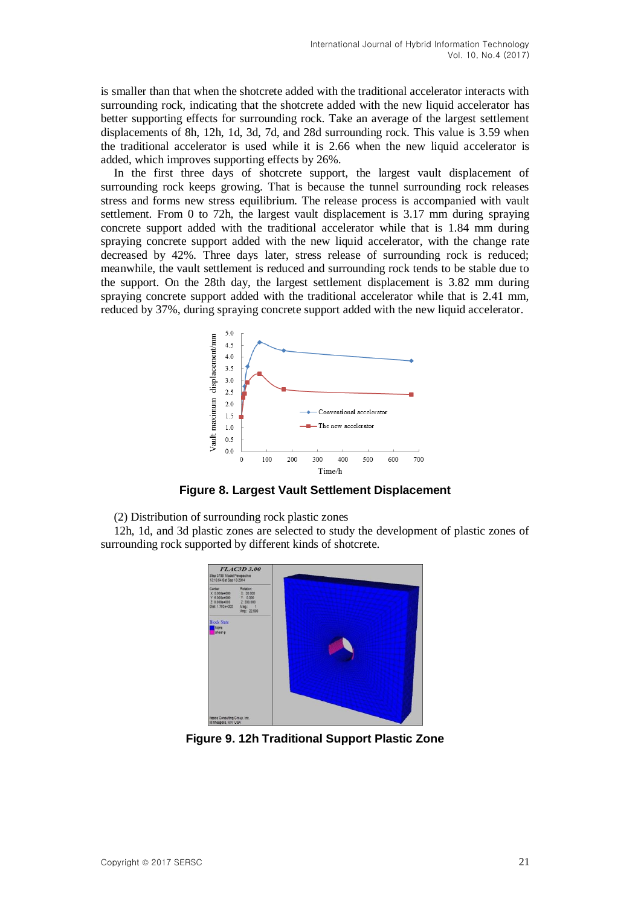is smaller than that when the shotcrete added with the traditional accelerator interacts with surrounding rock, indicating that the shotcrete added with the new liquid accelerator has better supporting effects for surrounding rock. Take an average of the largest settlement displacements of 8h, 12h, 1d, 3d, 7d, and 28d surrounding rock. This value is 3.59 when the traditional accelerator is used while it is 2.66 when the new liquid accelerator is added, which improves supporting effects by 26%.

In the first three days of shotcrete support, the largest vault displacement of surrounding rock keeps growing. That is because the tunnel surrounding rock releases stress and forms new stress equilibrium. The release process is accompanied with vault settlement. From 0 to 72h, the largest vault displacement is 3.17 mm during spraying concrete support added with the traditional accelerator while that is 1.84 mm during spraying concrete support added with the new liquid accelerator, with the change rate decreased by 42%. Three days later, stress release of surrounding rock is reduced; meanwhile, the vault settlement is reduced and surrounding rock tends to be stable due to the support. On the 28th day, the largest settlement displacement is 3.82 mm during spraying concrete support added with the traditional accelerator while that is 2.41 mm, reduced by 37%, during spraying concrete support added with the new liquid accelerator.



**Figure 8. Largest Vault Settlement Displacement**

(2) Distribution of surrounding rock plastic zones

12h, 1d, and 3d plastic zones are selected to study the development of plastic zones of surrounding rock supported by different kinds of shotcrete.



**Figure 9. 12h Traditional Support Plastic Zone**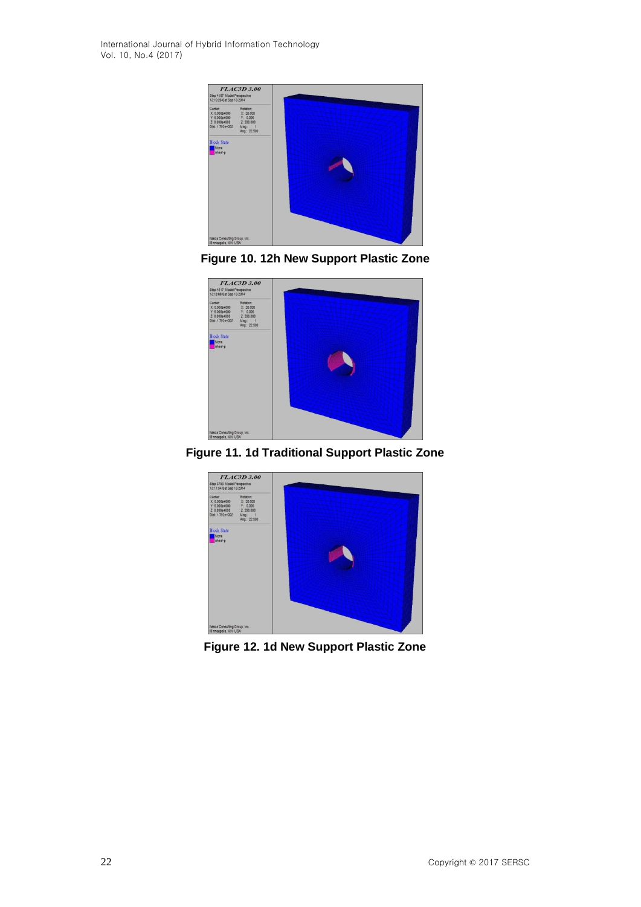International Journal of Hybrid Information Technology Vol. 10, No.4 (2017)



**Figure 10. 12h New Support Plastic Zone**



**Figure 11. 1d Traditional Support Plastic Zone**



**Figure 12. 1d New Support Plastic Zone**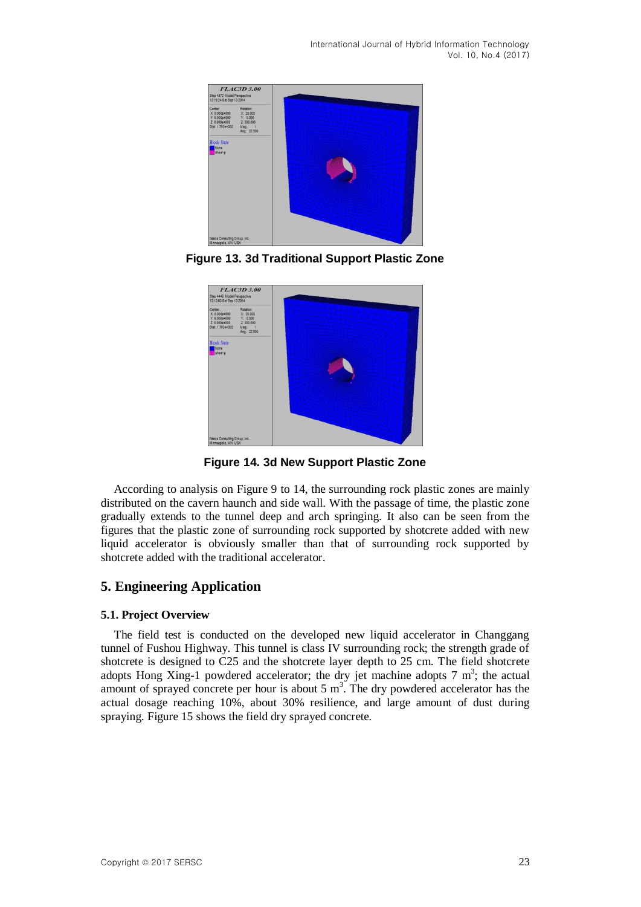International Journal of Hybrid Information Technology Vol. 10, No.4 (2017)



**Figure 13. 3d Traditional Support Plastic Zone**



**Figure 14. 3d New Support Plastic Zone**

According to analysis on Figure 9 to 14, the surrounding rock plastic zones are mainly distributed on the cavern haunch and side wall. With the passage of time, the plastic zone gradually extends to the tunnel deep and arch springing. It also can be seen from the figures that the plastic zone of surrounding rock supported by shotcrete added with new liquid accelerator is obviously smaller than that of surrounding rock supported by shotcrete added with the traditional accelerator.

# **5. Engineering Application**

# **5.1. Project Overview**

The field test is conducted on the developed new liquid accelerator in Changgang tunnel of Fushou Highway. This tunnel is class IV surrounding rock; the strength grade of shotcrete is designed to C25 and the shotcrete layer depth to 25 cm. The field shotcrete adopts Hong Xing-1 powdered accelerator; the dry jet machine adopts  $7 \text{ m}^3$ ; the actual amount of sprayed concrete per hour is about  $5 \text{ m}^3$ . The dry powdered accelerator has the actual dosage reaching 10%, about 30% resilience, and large amount of dust during spraying. Figure 15 shows the field dry sprayed concrete.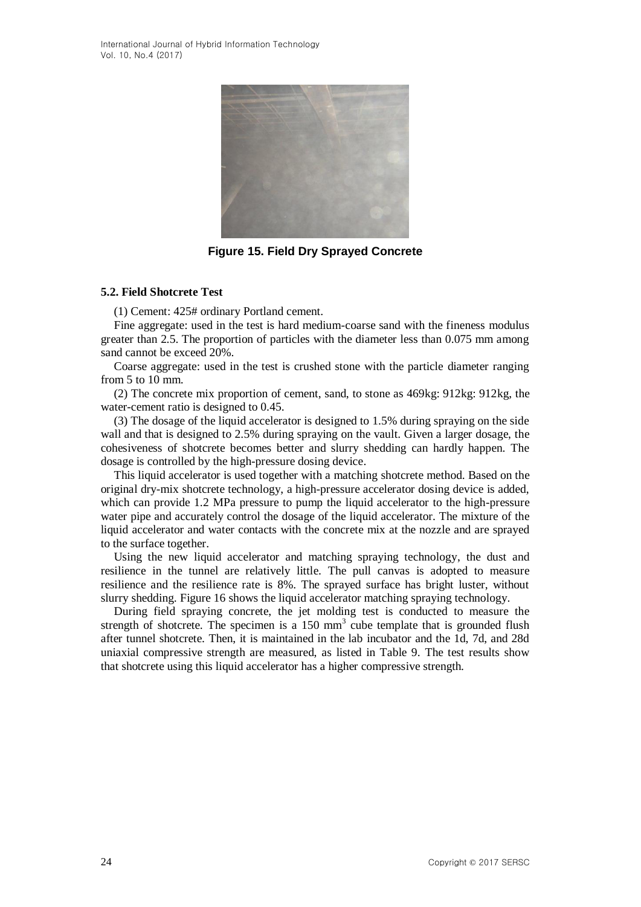

**Figure 15. Field Dry Sprayed Concrete**

### **5.2. Field Shotcrete Test**

(1) Cement: 425# ordinary Portland cement.

Fine aggregate: used in the test is hard medium-coarse sand with the fineness modulus greater than 2.5. The proportion of particles with the diameter less than 0.075 mm among sand cannot be exceed 20%.

Coarse aggregate: used in the test is crushed stone with the particle diameter ranging from 5 to 10 mm.

(2) The concrete mix proportion of cement, sand, to stone as 469kg: 912kg: 912kg, the water-cement ratio is designed to 0.45.

(3) The dosage of the liquid accelerator is designed to 1.5% during spraying on the side wall and that is designed to 2.5% during spraying on the vault. Given a larger dosage, the cohesiveness of shotcrete becomes better and slurry shedding can hardly happen. The dosage is controlled by the high-pressure dosing device.

This liquid accelerator is used together with a matching shotcrete method. Based on the original dry-mix shotcrete technology, a high-pressure accelerator dosing device is added, which can provide 1.2 MPa pressure to pump the liquid accelerator to the high-pressure water pipe and accurately control the dosage of the liquid accelerator. The mixture of the liquid accelerator and water contacts with the concrete mix at the nozzle and are sprayed to the surface together.

Using the new liquid accelerator and matching spraying technology, the dust and resilience in the tunnel are relatively little. The pull canvas is adopted to measure resilience and the resilience rate is 8%. The sprayed surface has bright luster, without slurry shedding. Figure 16 shows the liquid accelerator matching spraying technology.

During field spraying concrete, the jet molding test is conducted to measure the strength of shotcrete. The specimen is a  $150 \text{ mm}^3$  cube template that is grounded flush after tunnel shotcrete. Then, it is maintained in the lab incubator and the 1d, 7d, and 28d uniaxial compressive strength are measured, as listed in Table 9. The test results show that shotcrete using this liquid accelerator has a higher compressive strength.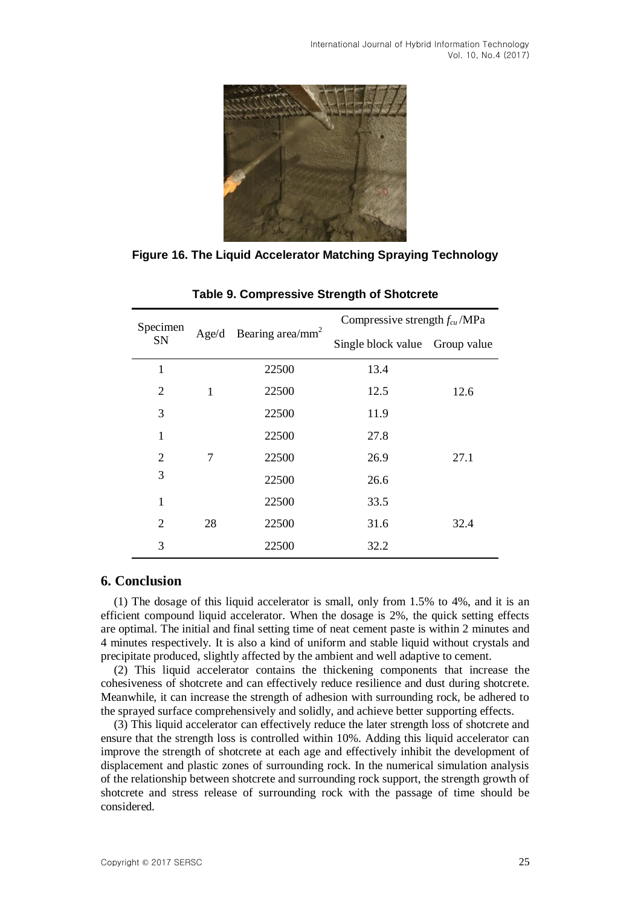International Journal of Hybrid Information Technology Vol. 10, No.4 (2017)



**Figure 16. The Liquid Accelerator Matching Spraying Technology**

| Specimen       |       |                              | Compressive strength $f_{cu}$ /MPa |      |  |
|----------------|-------|------------------------------|------------------------------------|------|--|
| <b>SN</b>      | Age/d | Bearing area/mm <sup>2</sup> | Single block value Group value     |      |  |
| $\mathbf 1$    |       | 22500                        | 13.4                               |      |  |
| 2              | 1     | 22500                        | 12.5                               | 12.6 |  |
| 3              |       | 22500                        | 11.9                               |      |  |
| $\mathbf{1}$   |       | 22500                        | 27.8                               |      |  |
| $\overline{2}$ | 7     | 22500                        | 26.9                               | 27.1 |  |
| 3              |       | 22500                        | 26.6                               |      |  |
| $\mathbf{1}$   |       | 22500                        | 33.5                               |      |  |
| $\overline{2}$ | 28    | 22500                        | 31.6                               | 32.4 |  |
| 3              |       | 22500                        | 32.2                               |      |  |

**Table 9. Compressive Strength of Shotcrete**

### **6. Conclusion**

(1) The dosage of this liquid accelerator is small, only from 1.5% to 4%, and it is an efficient compound liquid accelerator. When the dosage is 2%, the quick setting effects are optimal. The initial and final setting time of neat cement paste is within 2 minutes and 4 minutes respectively. It is also a kind of uniform and stable liquid without crystals and precipitate produced, slightly affected by the ambient and well adaptive to cement.

(2) This liquid accelerator contains the thickening components that increase the cohesiveness of shotcrete and can effectively reduce resilience and dust during shotcrete. Meanwhile, it can increase the strength of adhesion with surrounding rock, be adhered to the sprayed surface comprehensively and solidly, and achieve better supporting effects.

(3) This liquid accelerator can effectively reduce the later strength loss of shotcrete and ensure that the strength loss is controlled within 10%. Adding this liquid accelerator can improve the strength of shotcrete at each age and effectively inhibit the development of displacement and plastic zones of surrounding rock. In the numerical simulation analysis of the relationship between shotcrete and surrounding rock support, the strength growth of shotcrete and stress release of surrounding rock with the passage of time should be considered.